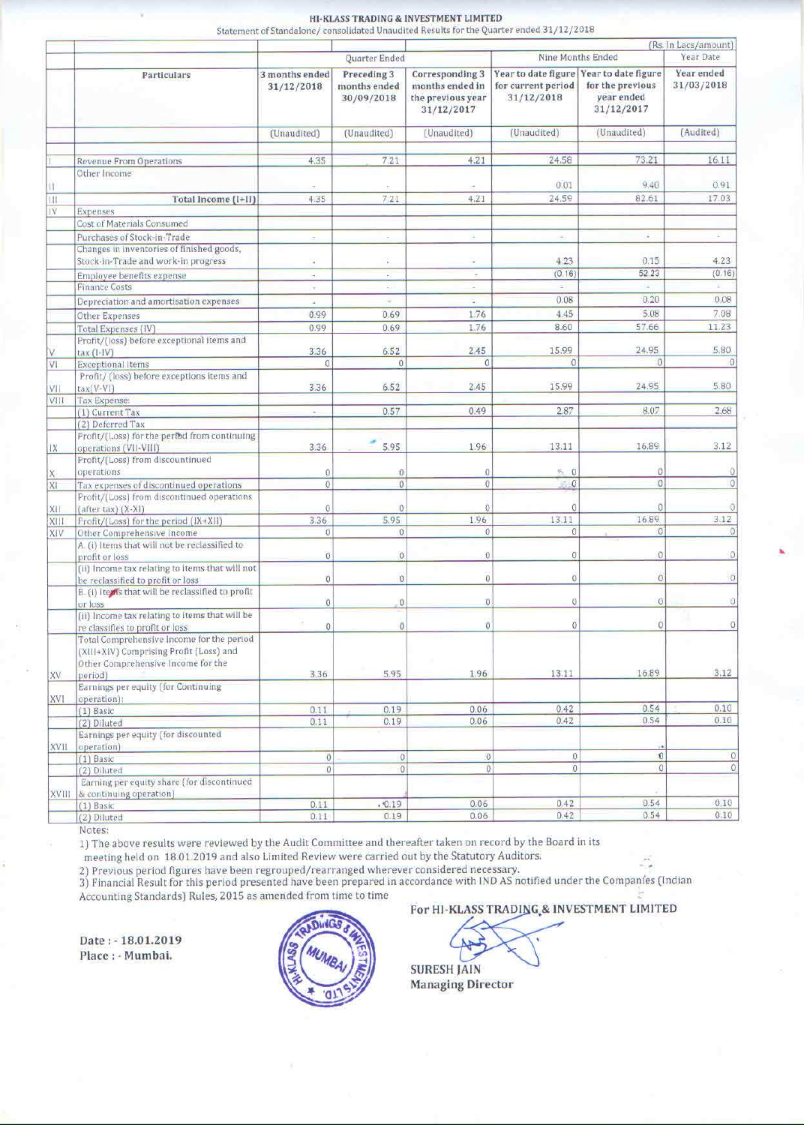## HI-KLASS TRADING & INVESTMENT LIMITED

Statement of Standalone/consolidated Unaudited Results for the Quarter ended 31/12/2018

|             | Particulars                                                                          |                              |                                           | (Rs. In Lacs/amount)                                                  |                                                         |                                                                     |                          |
|-------------|--------------------------------------------------------------------------------------|------------------------------|-------------------------------------------|-----------------------------------------------------------------------|---------------------------------------------------------|---------------------------------------------------------------------|--------------------------|
|             |                                                                                      |                              | Quarter Ended                             | Nine Months Ended                                                     |                                                         |                                                                     | Year Date                |
|             |                                                                                      | 3 months ended<br>31/12/2018 | Preceding 3<br>months ended<br>30/09/2018 | Corresponding 3<br>months ended in<br>the previous year<br>31/12/2017 | Year to date figure<br>for current period<br>31/12/2018 | Year to date figure<br>for the previous<br>year ended<br>31/12/2017 | Year ended<br>31/03/2018 |
|             |                                                                                      | (Unaudited)                  | (Unaudited)                               | (Unaudited)                                                           | (Unaudited)                                             | (Unaudited)                                                         | (Audited)                |
|             |                                                                                      |                              |                                           |                                                                       |                                                         |                                                                     |                          |
|             | <b>Revenue From Operations</b>                                                       | 4.35                         | 7.21                                      | 4.21                                                                  | 24.58                                                   | 73.21                                                               | 16.11                    |
|             | Other Income                                                                         |                              |                                           |                                                                       | 0.01                                                    | 9.40                                                                | 0.91                     |
|             | Total Income (I+II)                                                                  | 4.35                         | 7.21                                      | $\sim$<br>4.21                                                        | 24.59                                                   | 82.61                                                               | 17.03                    |
| IV          | Expenses                                                                             |                              |                                           |                                                                       |                                                         |                                                                     |                          |
|             | Cost of Materials Consumed                                                           |                              |                                           |                                                                       |                                                         |                                                                     |                          |
|             | Purchases of Stock-in-Trade.                                                         | $\sim$                       |                                           |                                                                       |                                                         | $\frac{1}{2}$                                                       |                          |
|             | Changes in inventories of finished goods,                                            |                              |                                           |                                                                       |                                                         |                                                                     |                          |
|             | Stock-in-Trade and work-in progress                                                  | S.                           | B                                         | à.                                                                    | 4.23                                                    | 0.15                                                                | 4.23                     |
|             | Employee benefits expense                                                            | $\overline{\phantom{a}}$     | <b>COLLEGE</b>                            | $\sim$                                                                | (0.16)                                                  | 52.23                                                               | (0.16)                   |
|             | <b>Finance Costs</b>                                                                 | $\pi$                        | $\sim$                                    | $\rightarrow$                                                         | $\rightarrow$                                           |                                                                     | Sec.                     |
|             | Depreciation and amortisation expenses                                               | $\sim$                       | w.                                        | $\overline{a}$                                                        | 0.08                                                    | 0.20                                                                | 0.08                     |
|             | Other Expenses                                                                       | 0.99                         | 0.69                                      | 1.76                                                                  | 4.45                                                    | 5.08                                                                | 7.08                     |
|             | Total Expenses (IV)                                                                  | 0.99                         | 0.69                                      | 1.76                                                                  | 8.60                                                    | 57.66                                                               | 11.23                    |
|             | Profit/(loss) before exceptional items and                                           |                              | 6.52                                      |                                                                       |                                                         |                                                                     | 5.80                     |
| V<br>VI.    | $tax(I-IV)$                                                                          | 3.36                         | O                                         | 2.45                                                                  | 15.99                                                   | 24.95                                                               |                          |
|             | <b>Exceptional Items</b><br>Profit/ (loss) before exceptions items and               |                              |                                           |                                                                       |                                                         |                                                                     |                          |
| VII         | $tax(V-VI)$                                                                          | 3.36                         | 6.52                                      | 2.45                                                                  | 15.99                                                   | 24.95                                                               | 5.80                     |
| VIII        | Tax Expense:                                                                         |                              |                                           |                                                                       |                                                         |                                                                     |                          |
|             | (1) Current Tax                                                                      |                              | 0.57                                      | 0.49                                                                  | 2.87                                                    | 8.07                                                                | 2.68                     |
|             | (2) Deferred Tax                                                                     |                              |                                           |                                                                       |                                                         |                                                                     |                          |
| IX          | Profit/(Loss) for the period from continuing<br>operations (VII-VIII)                | 3.36                         | 5.95                                      | 1.96                                                                  | 13.11                                                   | 16.89                                                               | 3.12                     |
| XI          | Profit/(Loss) from discountinued                                                     |                              |                                           |                                                                       |                                                         |                                                                     |                          |
|             | operations                                                                           |                              |                                           |                                                                       | $5 - 0$                                                 |                                                                     |                          |
|             | Tax expenses of discontinued operations                                              |                              |                                           | Ō                                                                     | $1 - 0$                                                 | 0                                                                   |                          |
|             | Profit/(Loss) from discontinued operations                                           |                              |                                           |                                                                       |                                                         |                                                                     |                          |
| XII<br>XIII | (after tax) (X-XI)<br>Profit/(Loss) for the period (IX+XII)                          | 3.36                         | 5.95                                      | 1.96                                                                  | 13.11                                                   | 16.89                                                               | 3.12                     |
| XIV         | Other Comprehensive Income                                                           |                              |                                           |                                                                       |                                                         |                                                                     |                          |
|             | A. (i) Items that will not be reclassified to<br>profit or loss                      |                              |                                           |                                                                       |                                                         |                                                                     |                          |
|             | (ii) Income tax relating to items that will not<br>be reclassified to profit or loss |                              |                                           |                                                                       |                                                         |                                                                     |                          |
|             | B. (i) Itests that will be reclassified to profit                                    |                              |                                           |                                                                       |                                                         |                                                                     |                          |
|             | or loss                                                                              |                              | 0.                                        |                                                                       |                                                         |                                                                     |                          |
|             | (ii) Income tax relating to items that will be<br>re classifies to profit or loss    |                              |                                           |                                                                       |                                                         |                                                                     |                          |
|             | Total Comprehensive Income for the period<br>(XIII+XIV) Comprising Profit (Loss) and |                              |                                           |                                                                       |                                                         |                                                                     |                          |
| XV          | Other Comprehensive Income for the<br>period)                                        | 3.36                         | 5.95                                      | 1.96                                                                  | 13.11                                                   | 16.89                                                               | 3.12                     |
| <b>XVI</b>  | Earnings per equity (for Continuing<br>operation):                                   |                              |                                           |                                                                       |                                                         |                                                                     |                          |
|             | $(1)$ Basic                                                                          | 0.11                         | 0.19                                      | 0.06                                                                  | 0.42                                                    | 0.54                                                                | 0.10                     |
|             | 2) Diluted                                                                           | 0.11                         | 0.19                                      | 0.06                                                                  | 0.42                                                    | 0.54                                                                | 0.10                     |
|             | Earnings per equity (for discounted                                                  |                              |                                           |                                                                       |                                                         |                                                                     |                          |
| XVII        | operation)                                                                           |                              |                                           |                                                                       |                                                         |                                                                     |                          |
|             | $(1)$ Basic                                                                          | $\boldsymbol{0}$             | 0                                         | $\theta$                                                              |                                                         | O                                                                   |                          |
|             | 2) Diluted                                                                           | 0                            | $\alpha$                                  | $\theta$                                                              |                                                         | $\Omega$                                                            |                          |
|             | Earning per equity share (for discontinued<br>XVIII & continuing operation)          |                              |                                           |                                                                       |                                                         |                                                                     |                          |
|             | $(1)$ Basic                                                                          | 0.11                         | .0.19                                     | 0.06                                                                  | 0.42                                                    | 0.54                                                                | 0.10                     |
|             | 2) Diluted                                                                           | 0.11                         | 0.19                                      | 0.06                                                                  | 0.42                                                    | 0.54                                                                | 0.10                     |

Notes:

1) The above results were reviewed by the Audit Committee and thereafter taken on record by the Board in its

meeting held on 18.01.2019 and also Limited Review were carried out by the Statutory Auditors.

2) Previous period figures have been regrouped/rearranged wherever considered necessary.<br>3) Financial Result for this period presented have been prepared in accordance with IND AS notified under the Companies (Indian Accounting Standards) Rules, 2015 as amended from time to time

Date: - 18.01.2019 Place: - Mumbai.



For HI-KLASS TRADING & INVESTMENT LIMITED

**SURESH JAIN** 

**Managing Director**